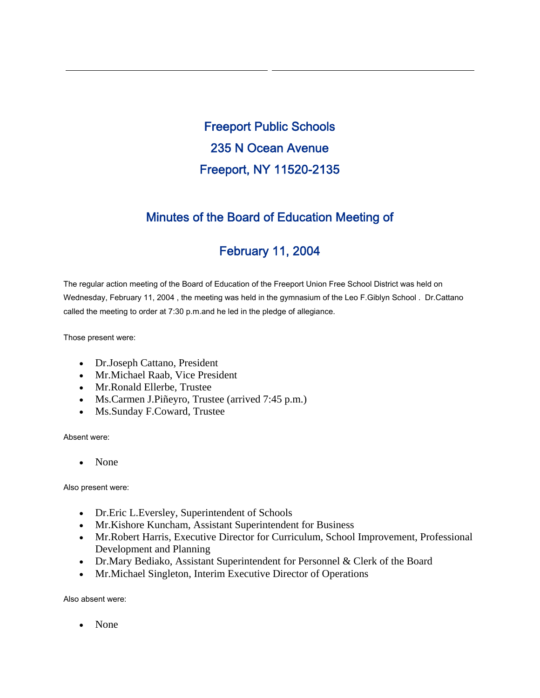Freeport Public Schools 235 N Ocean Avenue Freeport, NY 11520-2135

# Minutes of the Board of Education Meeting of

# February 11, 2004

The regular action meeting of the Board of Education of the Freeport Union Free School District was held on Wednesday, February 11, 2004 , the meeting was held in the gymnasium of the Leo F.Giblyn School . Dr.Cattano called the meeting to order at 7:30 p.m.and he led in the pledge of allegiance.

Those present were:

- Dr.Joseph Cattano, President
- Mr.Michael Raab, Vice President
- Mr.Ronald Ellerbe, Trustee
- Ms.Carmen J.Piñeyro, Trustee (arrived 7:45 p.m.)
- Ms.Sunday F.Coward, Trustee

Absent were:

• None

Also present were:

- Dr. Eric L. Eversley, Superintendent of Schools
- Mr.Kishore Kuncham, Assistant Superintendent for Business
- Mr.Robert Harris, Executive Director for Curriculum, School Improvement, Professional Development and Planning
- Dr.Mary Bediako, Assistant Superintendent for Personnel & Clerk of the Board
- Mr.Michael Singleton, Interim Executive Director of Operations

Also absent were:

• None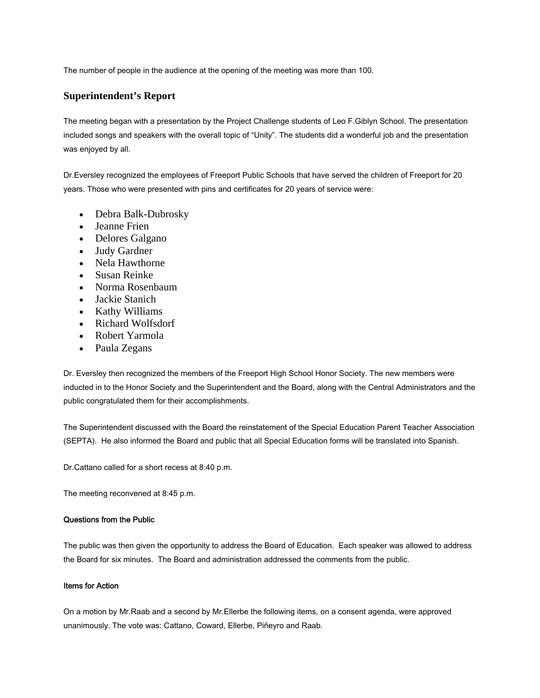The number of people in the audience at the opening of the meeting was more than 100.

### **Superintendent's Report**

The meeting began with a presentation by the Project Challenge students of Leo F.Giblyn School. The presentation included songs and speakers with the overall topic of "Unity". The students did a wonderful job and the presentation was enjoyed by all.

Dr.Eversley recognized the employees of Freeport Public Schools that have served the children of Freeport for 20 years. Those who were presented with pins and certificates for 20 years of service were:

- Debra Balk-Dubrosky
- Jeanne Frien
- Delores Galgano
- Judy Gardner
- Nela Hawthorne
- Susan Reinke
- Norma Rosenbaum
- Jackie Stanich
- Kathy Williams
- Richard Wolfsdorf
- Robert Yarmola
- Paula Zegans

Dr. Eversley then recognized the members of the Freeport High School Honor Society. The new members were inducted in to the Honor Society and the Superintendent and the Board, along with the Central Administrators and the public congratulated them for their accomplishments.

The Superintendent discussed with the Board the reinstatement of the Special Education Parent Teacher Association (SEPTA). He also informed the Board and public that all Special Education forms will be translated into Spanish.

Dr.Cattano called for a short recess at 8:40 p.m.

The meeting reconvened at 8:45 p.m.

### Questions from the Public

The public was then given the opportunity to address the Board of Education. Each speaker was allowed to address the Board for six minutes. The Board and administration addressed the comments from the public.

#### Items for Action

On a motion by Mr.Raab and a second by Mr.Ellerbe the following items, on a consent agenda, were approved unanimously. The vote was: Cattano, Coward, Ellerbe, Piñeyro and Raab.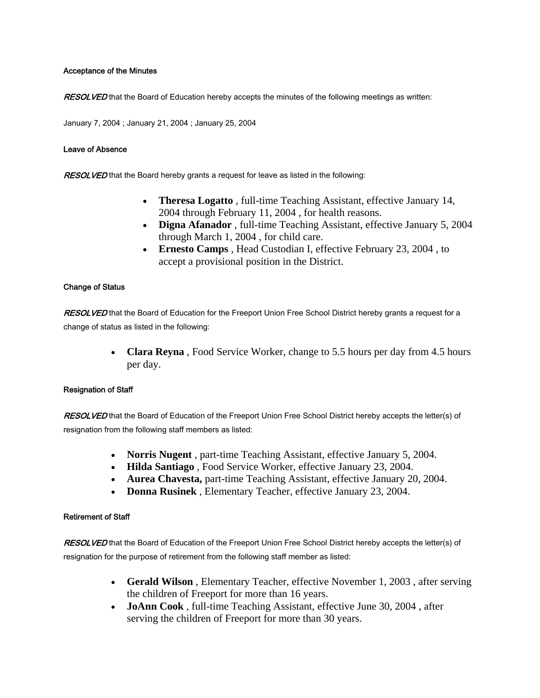### Acceptance of the Minutes

RESOLVED that the Board of Education hereby accepts the minutes of the following meetings as written:

January 7, 2004 ; January 21, 2004 ; January 25, 2004

#### Leave of Absence

RESOLVED that the Board hereby grants a request for leave as listed in the following:

- **Theresa Logatto** , full-time Teaching Assistant, effective January 14, 2004 through February 11, 2004 , for health reasons.
- **Digna Afanador** , full-time Teaching Assistant, effective January 5, 2004 through March 1, 2004 , for child care.
- **Ernesto Camps** , Head Custodian I, effective February 23, 2004 , to accept a provisional position in the District.

### Change of Status

RESOLVED that the Board of Education for the Freeport Union Free School District hereby grants a request for a change of status as listed in the following:

> • **Clara Reyna**, Food Service Worker, change to 5.5 hours per day from 4.5 hours per day.

### Resignation of Staff

RESOLVED that the Board of Education of the Freeport Union Free School District hereby accepts the letter(s) of resignation from the following staff members as listed:

- **Norris Nugent** , part-time Teaching Assistant, effective January 5, 2004.
- **Hilda Santiago** , Food Service Worker, effective January 23, 2004.
- **Aurea Chavesta,** part-time Teaching Assistant, effective January 20, 2004.
- **Donna Rusinek** , Elementary Teacher, effective January 23, 2004.

### Retirement of Staff

RESOLVED that the Board of Education of the Freeport Union Free School District hereby accepts the letter(s) of resignation for the purpose of retirement from the following staff member as listed:

- **Gerald Wilson** , Elementary Teacher, effective November 1, 2003 , after serving the children of Freeport for more than 16 years.
- **JoAnn Cook** , full-time Teaching Assistant, effective June 30, 2004 , after serving the children of Freeport for more than 30 years.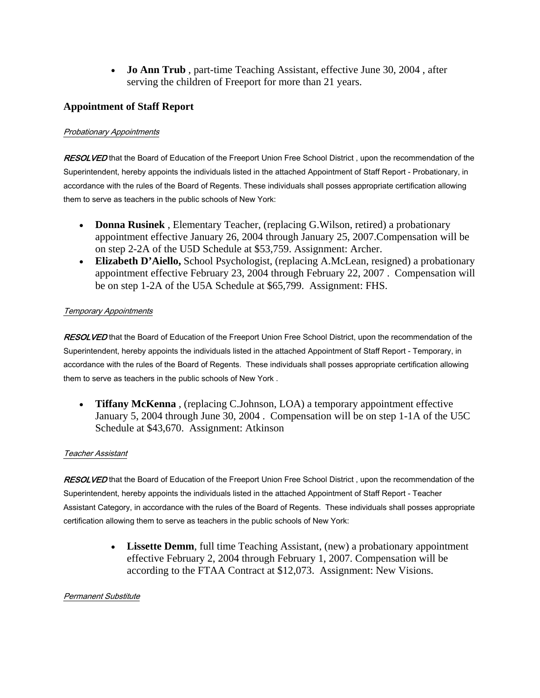• **Jo Ann Trub** , part-time Teaching Assistant, effective June 30, 2004 , after serving the children of Freeport for more than 21 years.

# **Appointment of Staff Report**

# Probationary Appointments

RESOLVED that the Board of Education of the Freeport Union Free School District, upon the recommendation of the Superintendent, hereby appoints the individuals listed in the attached Appointment of Staff Report - Probationary, in accordance with the rules of the Board of Regents. These individuals shall posses appropriate certification allowing them to serve as teachers in the public schools of New York:

- **Donna Rusinek** , Elementary Teacher, (replacing G.Wilson, retired) a probationary appointment effective January 26, 2004 through January 25, 2007.Compensation will be on step 2-2A of the U5D Schedule at \$53,759. Assignment: Archer.
- **Elizabeth D'Aiello,** School Psychologist, (replacing A.McLean, resigned) a probationary appointment effective February 23, 2004 through February 22, 2007 . Compensation will be on step 1-2A of the U5A Schedule at \$65,799. Assignment: FHS.

# Temporary Appointments

RESOLVED that the Board of Education of the Freeport Union Free School District, upon the recommendation of the Superintendent, hereby appoints the individuals listed in the attached Appointment of Staff Report - Temporary, in accordance with the rules of the Board of Regents. These individuals shall posses appropriate certification allowing them to serve as teachers in the public schools of New York .

• **Tiffany McKenna** , (replacing C.Johnson, LOA) a temporary appointment effective January 5, 2004 through June 30, 2004 . Compensation will be on step 1-1A of the U5C Schedule at \$43,670. Assignment: Atkinson

### Teacher Assistant

RESOLVED that the Board of Education of the Freeport Union Free School District, upon the recommendation of the Superintendent, hereby appoints the individuals listed in the attached Appointment of Staff Report - Teacher Assistant Category, in accordance with the rules of the Board of Regents. These individuals shall posses appropriate certification allowing them to serve as teachers in the public schools of New York:

> • **Lissette Demm**, full time Teaching Assistant, (new) a probationary appointment effective February 2, 2004 through February 1, 2007. Compensation will be according to the FTAA Contract at \$12,073. Assignment: New Visions.

### Permanent Substitute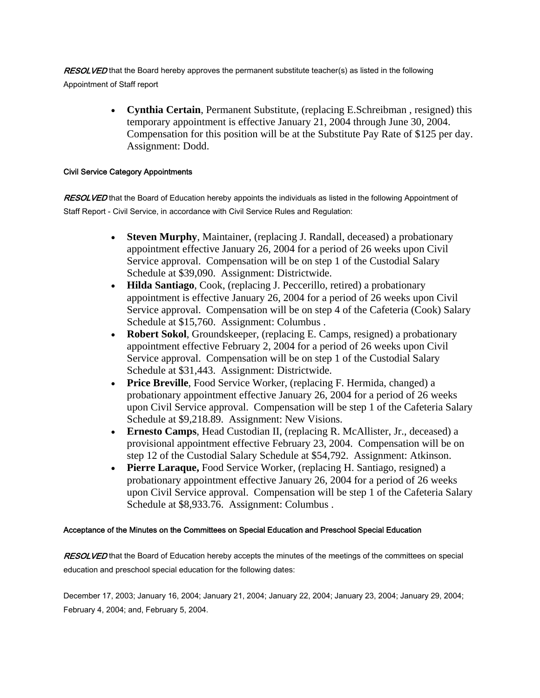RESOLVED that the Board hereby approves the permanent substitute teacher(s) as listed in the following Appointment of Staff report

> • **Cynthia Certain**, Permanent Substitute, (replacing E.Schreibman , resigned) this temporary appointment is effective January 21, 2004 through June 30, 2004. Compensation for this position will be at the Substitute Pay Rate of \$125 per day. Assignment: Dodd.

### Civil Service Category Appointments

RESOLVED that the Board of Education hereby appoints the individuals as listed in the following Appointment of Staff Report - Civil Service, in accordance with Civil Service Rules and Regulation:

- **Steven Murphy**, Maintainer, (replacing J. Randall, deceased) a probationary appointment effective January 26, 2004 for a period of 26 weeks upon Civil Service approval. Compensation will be on step 1 of the Custodial Salary Schedule at \$39,090. Assignment: Districtwide.
- **Hilda Santiago**, Cook, (replacing J. Peccerillo, retired) a probationary appointment is effective January 26, 2004 for a period of 26 weeks upon Civil Service approval. Compensation will be on step 4 of the Cafeteria (Cook) Salary Schedule at \$15,760. Assignment: Columbus .
- **Robert Sokol**, Groundskeeper, (replacing E. Camps, resigned) a probationary appointment effective February 2, 2004 for a period of 26 weeks upon Civil Service approval. Compensation will be on step 1 of the Custodial Salary Schedule at \$31,443. Assignment: Districtwide.
- **Price Breville**, Food Service Worker, (replacing F. Hermida, changed) a probationary appointment effective January 26, 2004 for a period of 26 weeks upon Civil Service approval. Compensation will be step 1 of the Cafeteria Salary Schedule at \$9,218.89. Assignment: New Visions.
- **Ernesto Camps**, Head Custodian II, (replacing R. McAllister, Jr., deceased) a provisional appointment effective February 23, 2004. Compensation will be on step 12 of the Custodial Salary Schedule at \$54,792. Assignment: Atkinson.
- **Pierre Laraque,** Food Service Worker, (replacing H. Santiago, resigned) a probationary appointment effective January 26, 2004 for a period of 26 weeks upon Civil Service approval. Compensation will be step 1 of the Cafeteria Salary Schedule at \$8,933.76. Assignment: Columbus .

### Acceptance of the Minutes on the Committees on Special Education and Preschool Special Education

RESOLVED that the Board of Education hereby accepts the minutes of the meetings of the committees on special education and preschool special education for the following dates:

December 17, 2003; January 16, 2004; January 21, 2004; January 22, 2004; January 23, 2004; January 29, 2004; February 4, 2004; and, February 5, 2004.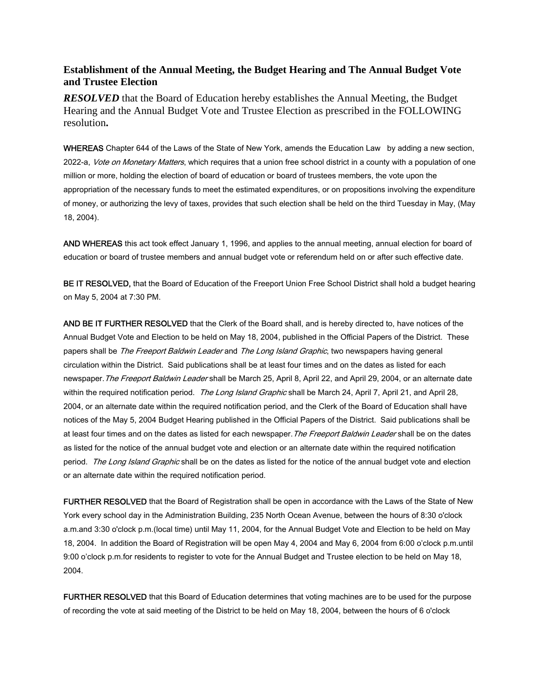# **Establishment of the Annual Meeting, the Budget Hearing and The Annual Budget Vote and Trustee Election**

*RESOLVED* that the Board of Education hereby establishes the Annual Meeting, the Budget Hearing and the Annual Budget Vote and Trustee Election as prescribed in the FOLLOWING resolution**.**

WHEREAS Chapter 644 of the Laws of the State of New York, amends the Education Law by adding a new section, 2022-a, *Vote on Monetary Matters*, which requires that a union free school district in a county with a population of one million or more, holding the election of board of education or board of trustees members, the vote upon the appropriation of the necessary funds to meet the estimated expenditures, or on propositions involving the expenditure of money, or authorizing the levy of taxes, provides that such election shall be held on the third Tuesday in May, (May 18, 2004).

AND WHEREAS this act took effect January 1, 1996, and applies to the annual meeting, annual election for board of education or board of trustee members and annual budget vote or referendum held on or after such effective date.

BE IT RESOLVED, that the Board of Education of the Freeport Union Free School District shall hold a budget hearing on May 5, 2004 at 7:30 PM.

AND BE IT FURTHER RESOLVED that the Clerk of the Board shall, and is hereby directed to, have notices of the Annual Budget Vote and Election to be held on May 18, 2004, published in the Official Papers of the District. These papers shall be *The Freeport Baldwin Leader* and *The Long Island Graphic*, two newspapers having general circulation within the District. Said publications shall be at least four times and on the dates as listed for each newspaper. The Freeport Baldwin Leader shall be March 25, April 8, April 22, and April 29, 2004, or an alternate date within the required notification period. The Long Island Graphic shall be March 24, April 7, April 21, and April 28, 2004, or an alternate date within the required notification period, and the Clerk of the Board of Education shall have notices of the May 5, 2004 Budget Hearing published in the Official Papers of the District. Said publications shall be at least four times and on the dates as listed for each newspaper. The Freeport Baldwin Leader shall be on the dates as listed for the notice of the annual budget vote and election or an alternate date within the required notification period. The Long Island Graphic shall be on the dates as listed for the notice of the annual budget vote and election or an alternate date within the required notification period.

FURTHER RESOLVED that the Board of Registration shall be open in accordance with the Laws of the State of New York every school day in the Administration Building, 235 North Ocean Avenue, between the hours of 8:30 o'clock a.m.and 3:30 o'clock p.m.(local time) until May 11, 2004, for the Annual Budget Vote and Election to be held on May 18, 2004. In addition the Board of Registration will be open May 4, 2004 and May 6, 2004 from 6:00 o'clock p.m.until 9:00 o'clock p.m.for residents to register to vote for the Annual Budget and Trustee election to be held on May 18, 2004.

FURTHER RESOLVED that this Board of Education determines that voting machines are to be used for the purpose of recording the vote at said meeting of the District to be held on May 18, 2004, between the hours of 6 o'clock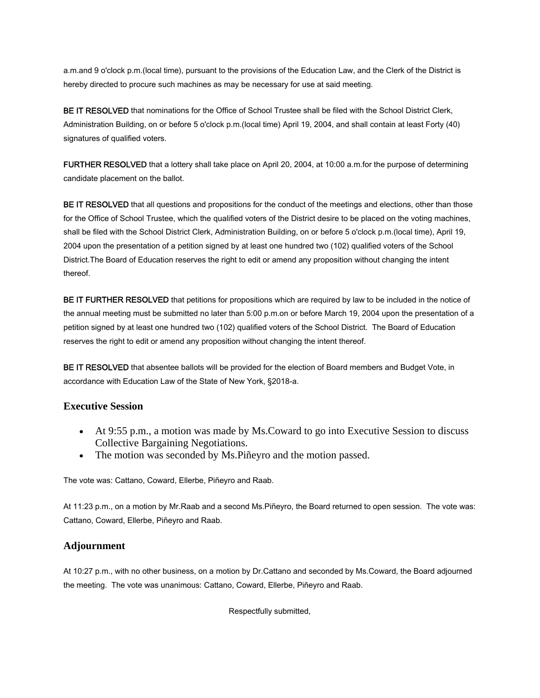a.m.and 9 o'clock p.m.(local time), pursuant to the provisions of the Education Law, and the Clerk of the District is hereby directed to procure such machines as may be necessary for use at said meeting.

BE IT RESOLVED that nominations for the Office of School Trustee shall be filed with the School District Clerk, Administration Building, on or before 5 o'clock p.m.(local time) April 19, 2004, and shall contain at least Forty (40) signatures of qualified voters.

FURTHER RESOLVED that a lottery shall take place on April 20, 2004, at 10:00 a.m.for the purpose of determining candidate placement on the ballot.

BE IT RESOLVED that all questions and propositions for the conduct of the meetings and elections, other than those for the Office of School Trustee, which the qualified voters of the District desire to be placed on the voting machines, shall be filed with the School District Clerk, Administration Building, on or before 5 o'clock p.m.(local time), April 19, 2004 upon the presentation of a petition signed by at least one hundred two (102) qualified voters of the School District.The Board of Education reserves the right to edit or amend any proposition without changing the intent thereof.

BE IT FURTHER RESOLVED that petitions for propositions which are required by law to be included in the notice of the annual meeting must be submitted no later than 5:00 p.m.on or before March 19, 2004 upon the presentation of a petition signed by at least one hundred two (102) qualified voters of the School District. The Board of Education reserves the right to edit or amend any proposition without changing the intent thereof.

BE IT RESOLVED that absentee ballots will be provided for the election of Board members and Budget Vote, in accordance with Education Law of the State of New York, §2018-a.

# **Executive Session**

- At 9:55 p.m., a motion was made by Ms.Coward to go into Executive Session to discuss Collective Bargaining Negotiations.
- The motion was seconded by Ms. Piñeyro and the motion passed.

The vote was: Cattano, Coward, Ellerbe, Piñeyro and Raab.

At 11:23 p.m., on a motion by Mr.Raab and a second Ms.Piñeyro, the Board returned to open session. The vote was: Cattano, Coward, Ellerbe, Piñeyro and Raab.

# **Adjournment**

At 10:27 p.m., with no other business, on a motion by Dr.Cattano and seconded by Ms.Coward, the Board adjourned the meeting. The vote was unanimous: Cattano, Coward, Ellerbe, Piñeyro and Raab.

Respectfully submitted,